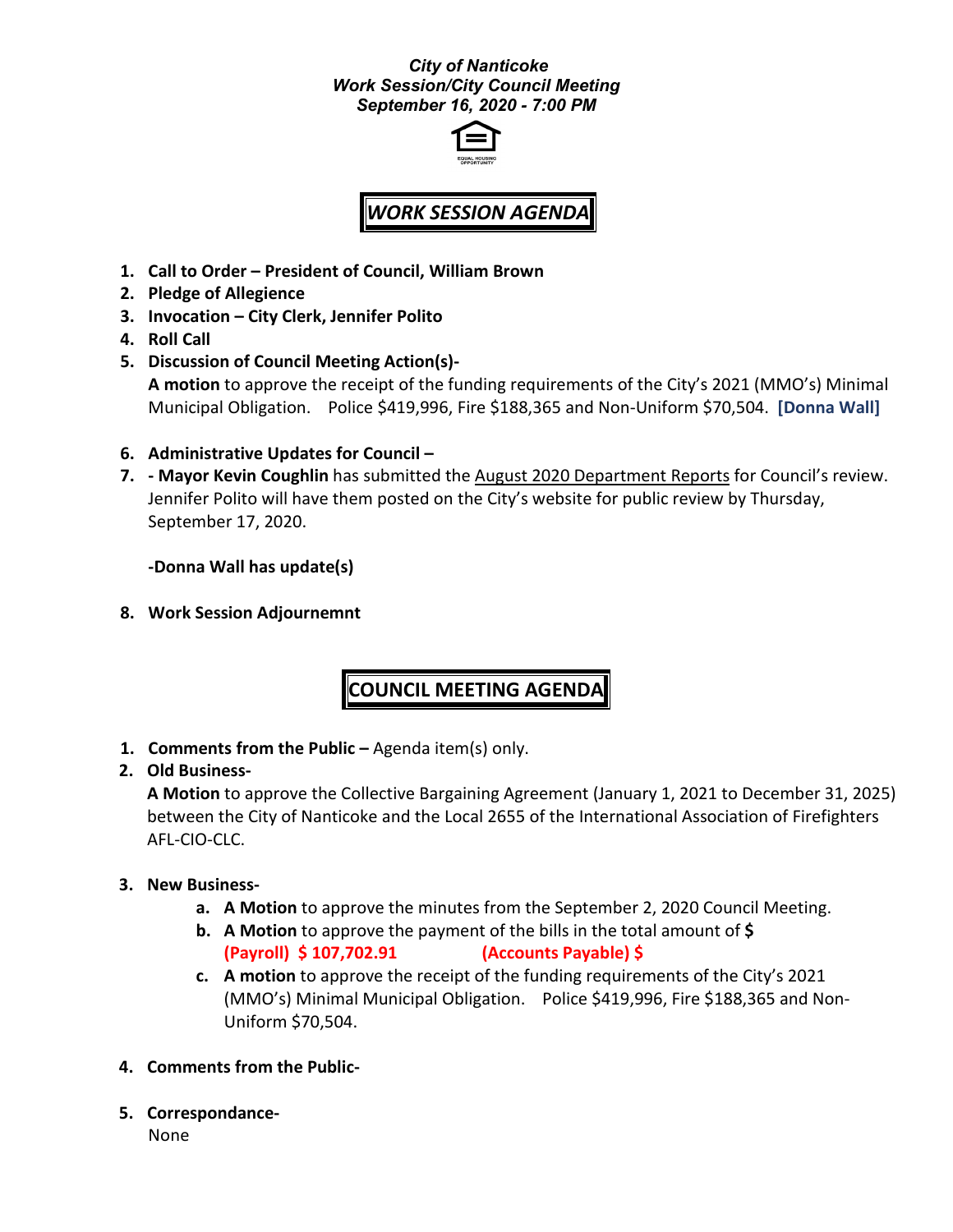#### *City of Nanticoke Work Session/City Council Meeting September 16, 2020 - 7:00 PM*



# *WORK SESSION AGENDA*

- **1. Call to Order – President of Council, William Brown**
- **2. Pledge of Allegience**
- **3. Invocation – City Clerk, Jennifer Polito**
- **4. Roll Call**
- **5. Discussion of Council Meeting Action(s)- A motion** to approve the receipt of the funding requirements of the City's 2021 (MMO's) Minimal Municipal Obligation. Police \$419,996, Fire \$188,365 and Non-Uniform \$70,504. **[Donna Wall]**
- **6. Administrative Updates for Council –**
- **7. - Mayor Kevin Coughlin** has submitted the August 2020 Department Reports for Council's review. Jennifer Polito will have them posted on the City's website for public review by Thursday, September 17, 2020.

**-Donna Wall has update(s)**

**8. Work Session Adjournemnt**

# **COUNCIL MEETING AGENDA**

**1. Comments from the Public –** Agenda item(s) only.

### **2. Old Business-**

**A Motion** to approve the Collective Bargaining Agreement (January 1, 2021 to December 31, 2025) between the City of Nanticoke and the Local 2655 of the International Association of Firefighters AFL-CIO-CLC.

#### **3. New Business-**

- **a. A Motion** to approve the minutes from the September 2, 2020 Council Meeting.
- **b. A Motion** to approve the payment of the bills in the total amount of **\$ (Payroll) \$ 107,702.91 (Accounts Payable) \$**
- **c. A motion** to approve the receipt of the funding requirements of the City's 2021 (MMO's) Minimal Municipal Obligation. Police \$419,996, Fire \$188,365 and Non-Uniform \$70,504.
- **4. Comments from the Public-**
- **5. Correspondance-**None